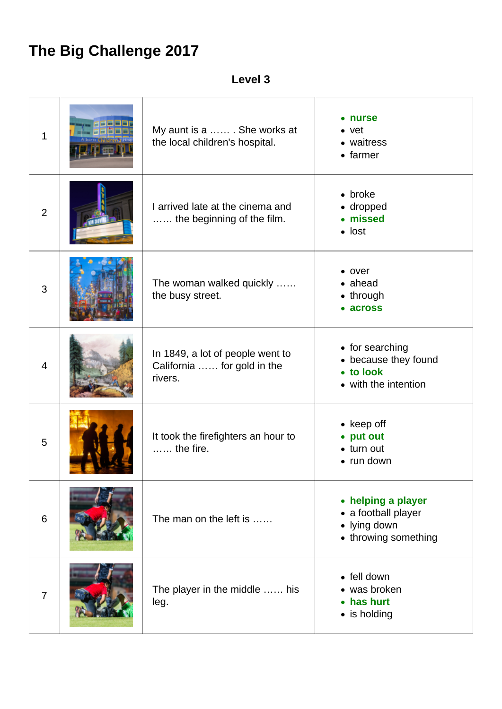## **The Big Challenge 2017**

**Level 3**

| $\mathbf 1$    | My aunt is a  She works at<br>the local children's hospital.               | • nurse<br>$\bullet$ vet<br>• waitress<br>$\bullet$ farmer                        |
|----------------|----------------------------------------------------------------------------|-----------------------------------------------------------------------------------|
| $\overline{2}$ | I arrived late at the cinema and<br>the beginning of the film.             | $\bullet$ broke<br>• dropped<br>• missed<br>$\bullet$ lost                        |
| 3              | The woman walked quickly<br>the busy street.                               | $\bullet$ over<br>• ahead<br>$\bullet$ through<br>• across                        |
| $\overline{4}$ | In 1849, a lot of people went to<br>California  for gold in the<br>rivers. | • for searching<br>• because they found<br>• to look<br>• with the intention      |
| 5              | It took the firefighters an hour to<br>$\ldots$ the fire.                  | $\bullet$ keep off<br>• put out<br>$\bullet$ turn out<br>$\bullet$ run down       |
| 6              | The man on the left is                                                     | • helping a player<br>• a football player<br>• lying down<br>• throwing something |
| $\overline{7}$ | The player in the middle  his<br>leg.                                      | • fell down<br>• was broken<br>• has hurt<br>$\bullet$ is holding                 |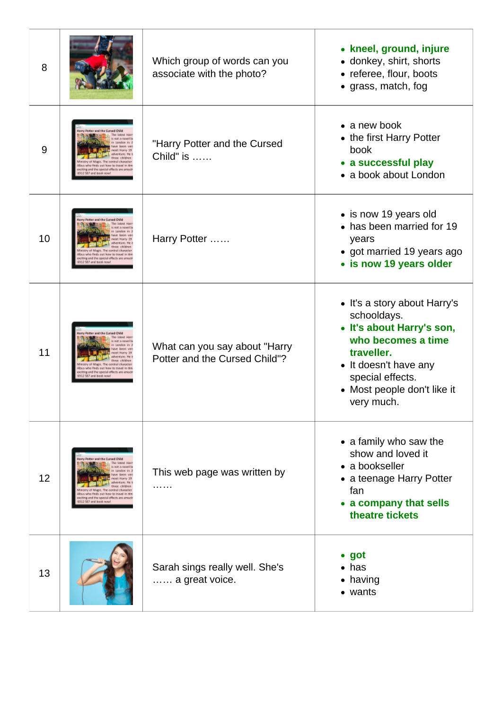| 8  |                                                                                                                                       | Which group of words can you<br>associate with the photo?      | • kneel, ground, injure<br>• donkey, shirt, shorts<br>• referee, flour, boots<br>• grass, match, fog                                                                                                   |
|----|---------------------------------------------------------------------------------------------------------------------------------------|----------------------------------------------------------------|--------------------------------------------------------------------------------------------------------------------------------------------------------------------------------------------------------|
| 9  | ter and the Cursed Chil<br>ndra mert forme tics tingvesl in<br>d the special effects                                                  | "Harry Potter and the Cursed<br>Child" is                      | $\bullet$ a new book<br>• the first Harry Potter<br>book<br>• a successful play<br>• a book about London                                                                                               |
| 10 |                                                                                                                                       | Harry Potter                                                   | • is now 19 years old<br>• has been married for 19<br>years<br>• got married 19 years ago<br>• is now 19 years older                                                                                   |
| 11 |                                                                                                                                       | What can you say about "Harry<br>Potter and the Cursed Child"? | • It's a story about Harry's<br>schooldays.<br>• It's about Harry's son,<br>who becomes a time<br>traveller.<br>• It doesn't have any<br>special effects.<br>• Most people don't like it<br>very much. |
| 12 | ry Potter and the Cursed Child<br>salves Finals, each home tex traved in<br>titing and the special offects are<br>2.587 and book now! | This web page was written by<br>.                              | • a family who saw the<br>show and loved it<br>• a bookseller<br>• a teenage Harry Potter<br>fan<br>• a company that sells<br>theatre tickets                                                          |
| 13 |                                                                                                                                       | Sarah sings really well. She's<br>a great voice.               | $\bullet$ got<br>$\bullet$ has<br>• having<br>• wants                                                                                                                                                  |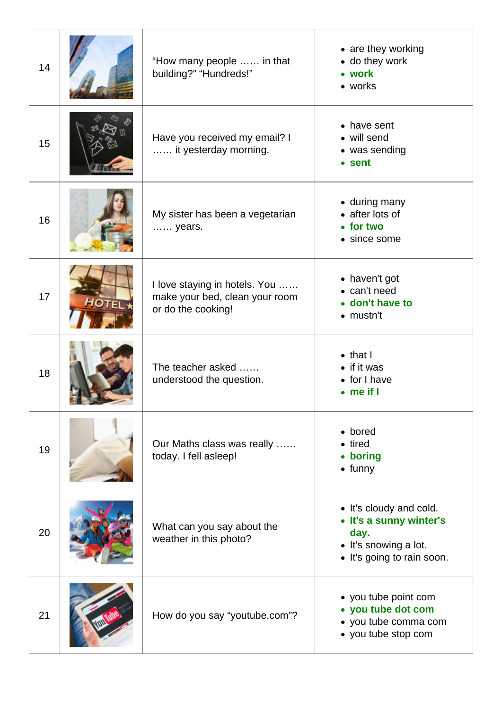| 14 |       | "How many people  in that<br>building?" "Hundreds!"                                   | • are they working<br>• do they work<br>• work<br>• works                                                         |
|----|-------|---------------------------------------------------------------------------------------|-------------------------------------------------------------------------------------------------------------------|
| 15 |       | Have you received my email? I<br>it yesterday morning.                                | • have sent<br>• will send<br>• was sending<br>• sent                                                             |
| 16 |       | My sister has been a vegetarian<br>years.                                             | • during many<br>• after lots of<br>• for two<br>• since some                                                     |
| 17 | НОТЕІ | I love staying in hotels. You<br>make your bed, clean your room<br>or do the cooking! | • haven't got<br>• can't need<br>• don't have to<br>$\bullet$ mustn't                                             |
| 18 |       | The teacher asked<br>understood the question.                                         | $\bullet$ that I<br>$\bullet$ if it was<br>$\bullet$ for I have<br>$\bullet$ me if I                              |
| 19 |       | Our Maths class was really<br>today. I fell asleep!                                   | • bored<br>• tired<br>• boring<br>$\bullet$ funny                                                                 |
| 20 |       | What can you say about the<br>weather in this photo?                                  | • It's cloudy and cold.<br>• It's a sunny winter's<br>day.<br>• It's snowing a lot.<br>• It's going to rain soon. |
| 21 |       | How do you say "youtube.com"?                                                         | • you tube point com<br>• you tube dot com<br>• you tube comma com<br>• you tube stop com                         |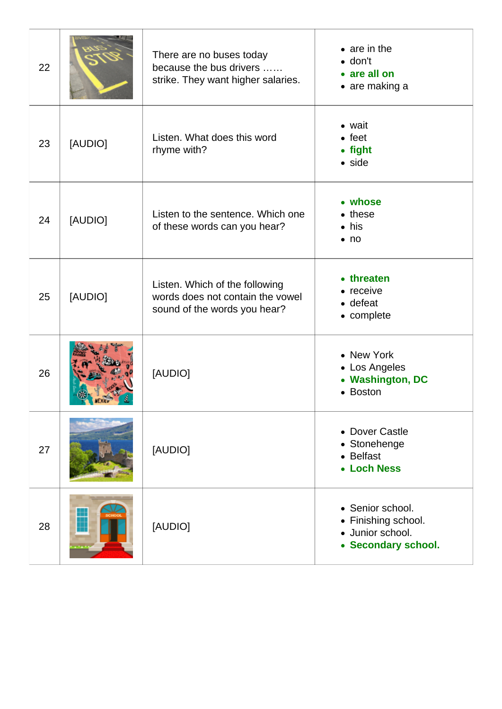| 22 |         | There are no buses today<br>because the bus drivers<br>strike. They want higher salaries.          | $\bullet$ are in the<br>$\bullet$ don't<br>• are all on<br>$\bullet$ are making a  |
|----|---------|----------------------------------------------------------------------------------------------------|------------------------------------------------------------------------------------|
| 23 | [AUDIO] | Listen. What does this word<br>rhyme with?                                                         | • wait<br>$\bullet$ feet<br>• fight<br>$\bullet$ side                              |
| 24 | [AUDIO] | Listen to the sentence. Which one<br>of these words can you hear?                                  | • whose<br>$\bullet$ these<br>$\bullet$ his<br>$\bullet$ no                        |
| 25 | [AUDIO] | Listen. Which of the following<br>words does not contain the vowel<br>sound of the words you hear? | • threaten<br>• receive<br>$\bullet$ defeat<br>• complete                          |
| 26 |         | [AUDIO]                                                                                            | • New York<br>• Los Angeles<br>• Washington, DC<br>• Boston                        |
| 27 |         | [AUDIO]                                                                                            | • Dover Castle<br>• Stonehenge<br>• Belfast<br>• Loch Ness                         |
| 28 |         | [AUDIO]                                                                                            | • Senior school.<br>• Finishing school.<br>· Junior school.<br>• Secondary school. |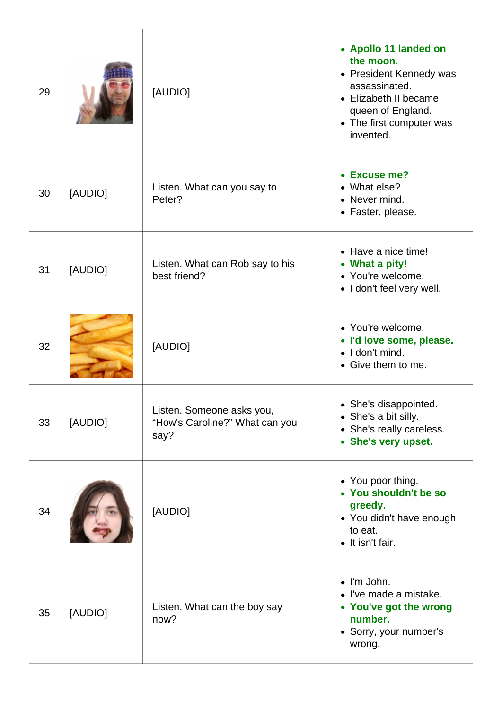| 29 |         | [AUDIO]                                                             | • Apollo 11 landed on<br>the moon.<br>• President Kennedy was<br>assassinated.<br>• Elizabeth II became<br>queen of England.<br>• The first computer was<br>invented. |
|----|---------|---------------------------------------------------------------------|-----------------------------------------------------------------------------------------------------------------------------------------------------------------------|
| 30 | [AUDIO] | Listen. What can you say to<br>Peter?                               | • Excuse me?<br>• What else?<br>• Never mind.<br>• Faster, please.                                                                                                    |
| 31 | [AUDIO] | Listen. What can Rob say to his<br>best friend?                     | • Have a nice time!<br>• What a pity!<br>• You're welcome.<br>• I don't feel very well.                                                                               |
| 32 |         | [AUDIO]                                                             | • You're welcome.<br>• I'd love some, please.<br>$\bullet$   don't mind.<br>• Give them to me.                                                                        |
| 33 | [AUDIO] | Listen. Someone asks you,<br>"How's Caroline?" What can you<br>say? | • She's disappointed.<br>• She's a bit silly.<br>• She's really careless.<br>• She's very upset.                                                                      |
| 34 |         | [AUDIO]                                                             | • You poor thing.<br>• You shouldn't be so<br>greedy.<br>• You didn't have enough<br>to eat.<br>• It isn't fair.                                                      |
| 35 | [AUDIO] | Listen. What can the boy say<br>now?                                | $\bullet$ I'm John.<br>• I've made a mistake.<br>• You've got the wrong<br>number.<br>• Sorry, your number's<br>wrong.                                                |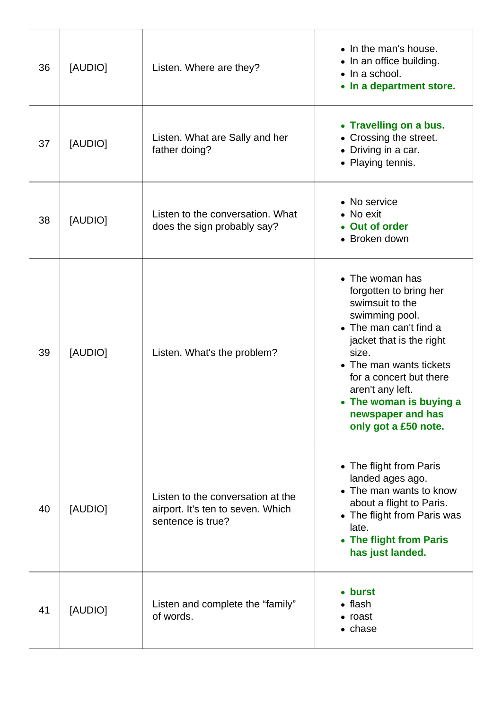| 36 | [AUDIO] | Listen. Where are they?                                                                     | • In the man's house.<br>• In an office building.<br>$\bullet$ In a school.<br>• In a department store.                                                                                                                                                                                         |
|----|---------|---------------------------------------------------------------------------------------------|-------------------------------------------------------------------------------------------------------------------------------------------------------------------------------------------------------------------------------------------------------------------------------------------------|
| 37 | [AUDIO] | Listen. What are Sally and her<br>father doing?                                             | • Travelling on a bus.<br>• Crossing the street.<br>• Driving in a car.<br>• Playing tennis.                                                                                                                                                                                                    |
| 38 | [AUDIO] | Listen to the conversation. What<br>does the sign probably say?                             | • No service<br>• No exit<br>• Out of order<br>• Broken down                                                                                                                                                                                                                                    |
| 39 | [AUDIO] | Listen. What's the problem?                                                                 | • The woman has<br>forgotten to bring her<br>swimsuit to the<br>swimming pool.<br>• The man can't find a<br>jacket that is the right<br>size.<br>• The man wants tickets<br>for a concert but there<br>aren't any left.<br>• The woman is buying a<br>newspaper and has<br>only got a £50 note. |
| 40 | [AUDIO] | Listen to the conversation at the<br>airport. It's ten to seven. Which<br>sentence is true? | • The flight from Paris<br>landed ages ago.<br>• The man wants to know<br>about a flight to Paris.<br>• The flight from Paris was<br>late.<br>• The flight from Paris<br>has just landed.                                                                                                       |
| 41 | [AUDIO] | Listen and complete the "family"<br>of words.                                               | • burst<br>$\bullet$ flash<br>• roast<br>• chase                                                                                                                                                                                                                                                |